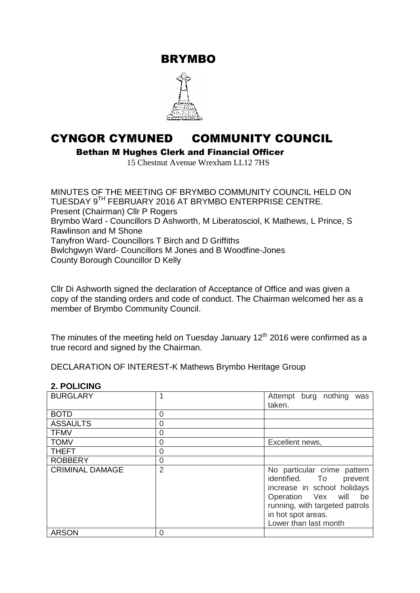BRYMBO



# CYNGOR CYMUNED COMMUNITY COUNCIL

Bethan M Hughes Clerk and Financial Officer

15 Chestnut Avenue Wrexham LL12 7HS

MINUTES OF THE MEETING OF BRYMBO COMMUNITY COUNCIL HELD ON TUESDAY 9 TH FEBRUARY 2016 AT BRYMBO ENTERPRISE CENTRE. Present (Chairman) Cllr P Rogers Brymbo Ward - Councillors D Ashworth, M Liberatosciol, K Mathews, L Prince, S Rawlinson and M Shone Tanyfron Ward- Councillors T Birch and D Griffiths Bwlchgwyn Ward- Councillors M Jones and B Woodfine-Jones County Borough Councillor D Kelly

Cllr Di Ashworth signed the declaration of Acceptance of Office and was given a copy of the standing orders and code of conduct. The Chairman welcomed her as a member of Brymbo Community Council.

The minutes of the meeting held on Tuesday January  $12<sup>th</sup>$  2016 were confirmed as a true record and signed by the Chairman.

DECLARATION OF INTEREST-K Mathews Brymbo Heritage Group

#### **2. POLICING**

| <b>BURGLARY</b>        |   | Attempt burg nothing<br>was<br>taken.                                                                                                                                                                |  |
|------------------------|---|------------------------------------------------------------------------------------------------------------------------------------------------------------------------------------------------------|--|
| <b>BOTD</b>            | 0 |                                                                                                                                                                                                      |  |
| <b>ASSAULTS</b>        | 0 |                                                                                                                                                                                                      |  |
| <b>TFMV</b>            | 0 |                                                                                                                                                                                                      |  |
| <b>TOMV</b>            | 0 | Excellent news,                                                                                                                                                                                      |  |
| <b>THEFT</b>           | 0 |                                                                                                                                                                                                      |  |
| <b>ROBBERY</b>         | 0 |                                                                                                                                                                                                      |  |
| <b>CRIMINAL DAMAGE</b> | 2 | No particular crime pattern<br>identified. To<br>prevent<br>increase in school holidays<br>Operation Vex will<br>be<br>running, with targeted patrols<br>in hot spot areas.<br>Lower than last month |  |
| <b>ARSON</b>           | 0 |                                                                                                                                                                                                      |  |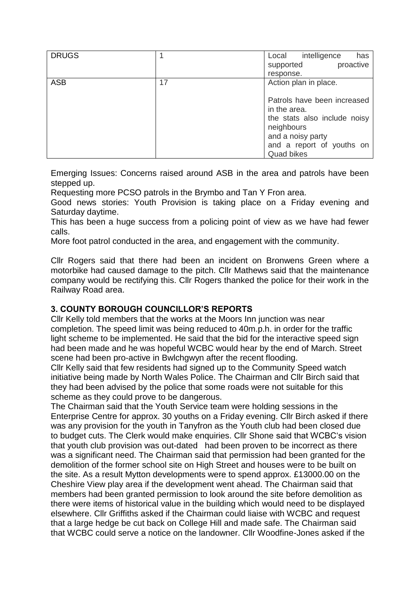| <b>DRUGS</b> |    | intelligence<br>Local<br>has<br>proactive<br>supported                                                                          |  |
|--------------|----|---------------------------------------------------------------------------------------------------------------------------------|--|
| <b>ASB</b>   | 17 | response.<br>Action plan in place.<br>Patrols have been increased<br>in the area.<br>the stats also include noisy<br>neighbours |  |
|              |    | and a noisy party<br>and a report of youths on<br><b>Quad bikes</b>                                                             |  |

Emerging Issues: Concerns raised around ASB in the area and patrols have been stepped up.

Requesting more PCSO patrols in the Brymbo and Tan Y Fron area.

Good news stories: Youth Provision is taking place on a Friday evening and Saturday daytime.

This has been a huge success from a policing point of view as we have had fewer calls.

More foot patrol conducted in the area, and engagement with the community.

Cllr Rogers said that there had been an incident on Bronwens Green where a motorbike had caused damage to the pitch. Cllr Mathews said that the maintenance company would be rectifying this. Cllr Rogers thanked the police for their work in the Railway Road area.

#### **3. COUNTY BOROUGH COUNCILLOR'S REPORTS**

Cllr Kelly told members that the works at the Moors Inn junction was near completion. The speed limit was being reduced to 40m.p.h. in order for the traffic light scheme to be implemented. He said that the bid for the interactive speed sign had been made and he was hopeful WCBC would hear by the end of March. Street scene had been pro-active in Bwlchgwyn after the recent flooding.

Cllr Kelly said that few residents had signed up to the Community Speed watch initiative being made by North Wales Police. The Chairman and Cllr Birch said that they had been advised by the police that some roads were not suitable for this scheme as they could prove to be dangerous.

The Chairman said that the Youth Service team were holding sessions in the Enterprise Centre for approx. 30 youths on a Friday evening. Cllr Birch asked if there was any provision for the youth in Tanyfron as the Youth club had been closed due to budget cuts. The Clerk would make enquiries. Cllr Shone said that WCBC's vision that youth club provision was out-dated had been proven to be incorrect as there was a significant need. The Chairman said that permission had been granted for the demolition of the former school site on High Street and houses were to be built on the site. As a result Mytton developments were to spend approx. £13000.00 on the Cheshire View play area if the development went ahead. The Chairman said that members had been granted permission to look around the site before demolition as there were items of historical value in the building which would need to be displayed elsewhere. Cllr Griffiths asked if the Chairman could liaise with WCBC and request that a large hedge be cut back on College Hill and made safe. The Chairman said that WCBC could serve a notice on the landowner. Cllr Woodfine-Jones asked if the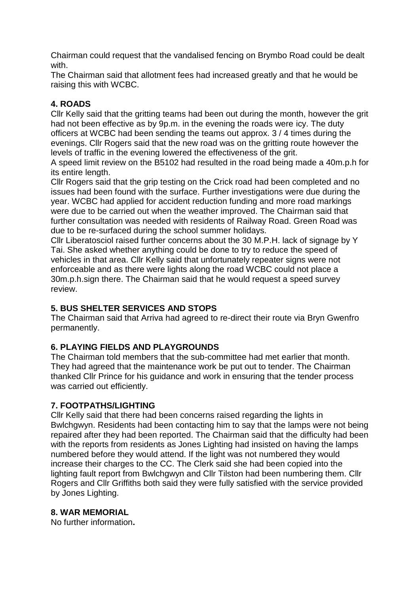Chairman could request that the vandalised fencing on Brymbo Road could be dealt with.

The Chairman said that allotment fees had increased greatly and that he would be raising this with WCBC.

## **4. ROADS**

Cllr Kelly said that the gritting teams had been out during the month, however the grit had not been effective as by 9p.m. in the evening the roads were icy. The duty officers at WCBC had been sending the teams out approx. 3 / 4 times during the evenings. Cllr Rogers said that the new road was on the gritting route however the levels of traffic in the evening lowered the effectiveness of the grit.

A speed limit review on the B5102 had resulted in the road being made a 40m.p.h for its entire length.

Cllr Rogers said that the grip testing on the Crick road had been completed and no issues had been found with the surface. Further investigations were due during the year. WCBC had applied for accident reduction funding and more road markings were due to be carried out when the weather improved. The Chairman said that further consultation was needed with residents of Railway Road. Green Road was due to be re-surfaced during the school summer holidays.

Cllr Liberatosciol raised further concerns about the 30 M.P.H. lack of signage by Y Tai. She asked whether anything could be done to try to reduce the speed of vehicles in that area. Cllr Kelly said that unfortunately repeater signs were not enforceable and as there were lights along the road WCBC could not place a 30m.p.h.sign there. The Chairman said that he would request a speed survey review.

# **5. BUS SHELTER SERVICES AND STOPS**

The Chairman said that Arriva had agreed to re-direct their route via Bryn Gwenfro permanently.

## **6. PLAYING FIELDS AND PLAYGROUNDS**

The Chairman told members that the sub-committee had met earlier that month. They had agreed that the maintenance work be put out to tender. The Chairman thanked Cllr Prince for his guidance and work in ensuring that the tender process was carried out efficiently.

## **7. FOOTPATHS/LIGHTING**

Cllr Kelly said that there had been concerns raised regarding the lights in Bwlchgwyn. Residents had been contacting him to say that the lamps were not being repaired after they had been reported. The Chairman said that the difficulty had been with the reports from residents as Jones Lighting had insisted on having the lamps numbered before they would attend. If the light was not numbered they would increase their charges to the CC. The Clerk said she had been copied into the lighting fault report from Bwlchgwyn and Cllr Tilston had been numbering them. Cllr Rogers and Cllr Griffiths both said they were fully satisfied with the service provided by Jones Lighting.

## **8. WAR MEMORIAL**

No further information**.**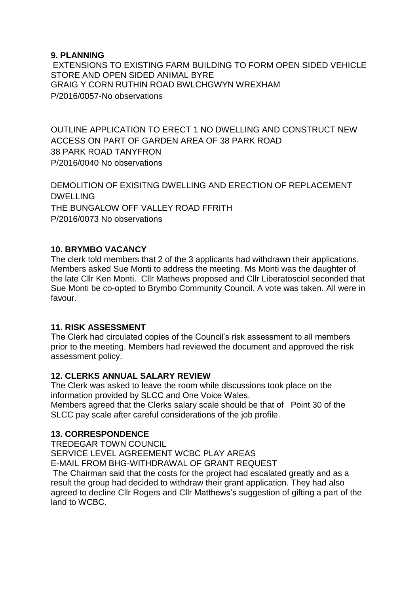#### **9. PLANNING**

EXTENSIONS TO EXISTING FARM BUILDING TO FORM OPEN SIDED VEHICLE STORE AND OPEN SIDED ANIMAL BYRE GRAIG Y CORN RUTHIN ROAD BWLCHGWYN WREXHAM P/2016/0057-No observations

OUTLINE APPLICATION TO ERECT 1 NO DWELLING AND CONSTRUCT NEW ACCESS ON PART OF GARDEN AREA OF 38 PARK ROAD 38 PARK ROAD TANYFRON P/2016/0040 No observations

DEMOLITION OF EXISITNG DWELLING AND ERECTION OF REPLACEMENT DWELLING THE BUNGALOW OFF VALLEY ROAD FFRITH P/2016/0073 No observations

#### **10. BRYMBO VACANCY**

The clerk told members that 2 of the 3 applicants had withdrawn their applications. Members asked Sue Monti to address the meeting. Ms Monti was the daughter of the late Cllr Ken Monti. Cllr Mathews proposed and Cllr Liberatosciol seconded that Sue Monti be co-opted to Brymbo Community Council. A vote was taken. All were in favour.

## **11. RISK ASSESSMENT**

The Clerk had circulated copies of the Council's risk assessment to all members prior to the meeting. Members had reviewed the document and approved the risk assessment policy.

## **12. CLERKS ANNUAL SALARY REVIEW**

The Clerk was asked to leave the room while discussions took place on the information provided by SLCC and One Voice Wales.

Members agreed that the Clerks salary scale should be that of Point 30 of the SLCC pay scale after careful considerations of the job profile.

## **13. CORRESPONDENCE**

TREDEGAR TOWN COUNCIL SERVICE LEVEL AGREEMENT WCBC PLAY AREAS E-MAIL FROM BHG-WITHDRAWAL OF GRANT REQUEST

The Chairman said that the costs for the project had escalated greatly and as a result the group had decided to withdraw their grant application. They had also agreed to decline Cllr Rogers and Cllr Matthews's suggestion of gifting a part of the land to WCBC.